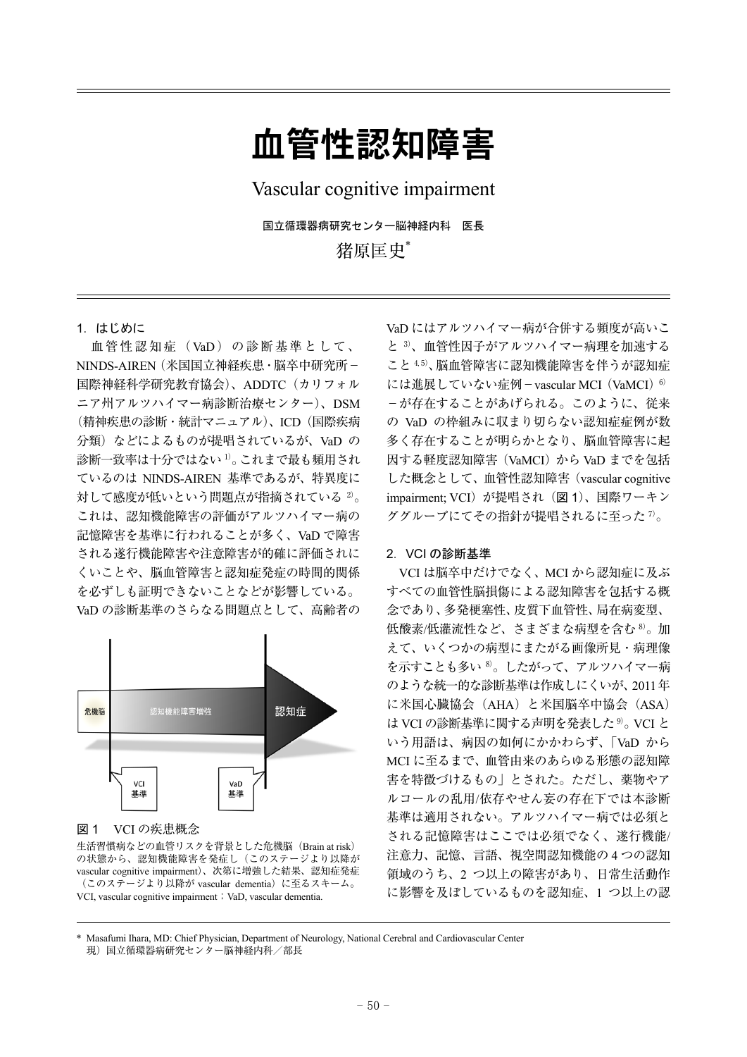# 血管性認知障害

Vascular cognitive impairment

国立循環器病研究センター脳神経内科 医長 猪原匡史\*

1.はじめに

 血管性認知症(VaD)の診断基準として、 NINDS-AIREN(米国国立神経疾患・脳卒中研究所- 国際神経科学研究教育協会)、ADDTC(カリフォル ニア州アルツハイマー病診断治療センター)、DSM (精神疾患の診断・統計マニュアル)、ICD(国際疾病 分類) などによるものが提唱されているが、VaD の 診断一致率は十分ではない 1)。これまで最も頻用され ているのは NINDS-AIREN 基準であるが、特異度に 対して感度が低いという問題点が指摘されている 2)。 これは、認知機能障害の評価がアルツハイマー病の 記憶障害を基準に行われることが多く、VaD で障害 される遂行機能障害や注意障害が的確に評価されに くいことや、脳血管障害と認知症発症の時間的関係 を必ずしも証明できないことなどが影響している。 VaD の診断基準のさらなる問題点として、高齢者の



### 図 1 VCI の疾患概念

生活習慣病などの血管リスクを背景とした危機脳(Brain at risk) の状態から、認知機能障害を発症し(このステージより以降が vascular cognitive impairment)、次第に増強した結果、認知症発症 (このステージより以降が vascular dementia)に至るスキーム。 VCI, vascular cognitive impairment; VaD, vascular dementia.

VaD にはアルツハイマー病が合併する頻度が高いこ と 3)、血管性因子がアルツハイマー病理を加速する こと 4,5)、脳血管障害に認知機能障害を伴うが認知症 には進展していない症例-vascular MCI (VaMCI)<sup>6)</sup> -が存在することがあげられる。このように、従来 の VaD の枠組みに収まり切らない認知症症例が数 多く存在することが明らかとなり、脳血管障害に起 因する軽度認知障害(VaMCI)から VaD までを包括 した概念として、血管性認知障害(vascular cognitive impairment; VCI)が提唱され(図 1)、国際ワーキン ググループにてその指針が提唱されるに至った $7$ 。

### 2.VCI の診断基準

VCI は脳卒中だけでなく、MCI から認知症に及ぶ すべての血管性脳損傷による認知障害を包括する概 念であり、多発梗塞性、皮質下血管性、局在病変型、 低酸素/低灌流性など、さまざまな病型を含む 8)。加 えて、いくつかの病型にまたがる画像所見・病理像 を示すことも多い 8)。したがって、アルツハイマー病 のような統一的な診断基準は作成しにくいが、2011年 に米国心臓協会(AHA)と米国脳卒中協会(ASA) は VCI の診断基準に関する声明を発表した <sup>9)</sup>。 VCI と いう用語は、病因の如何にかかわらず、「VaD から MCI に至るまで、血管由来のあらゆる形態の認知障 害を特徴づけるもの」とされた。ただし、薬物やア ルコールの乱用/依存やせん妄の存在下では本診断 基準は適用されない。アルツハイマー病では必須と される記憶障害はここでは必須でなく、遂行機能/ 注意力、記憶、言語、視空間認知機能の 4 つの認知 領域のうち、2 つ以上の障害があり、日常生活動作 に影響を及ぼしているものを認知症、1 つ以上の認

<sup>\*</sup> Masafumi Ihara, MD: Chief Physician, Department of Neurology, National Cerebral and Cardiovascular Center 現)国立循環器病研究センター脳神経内科/部長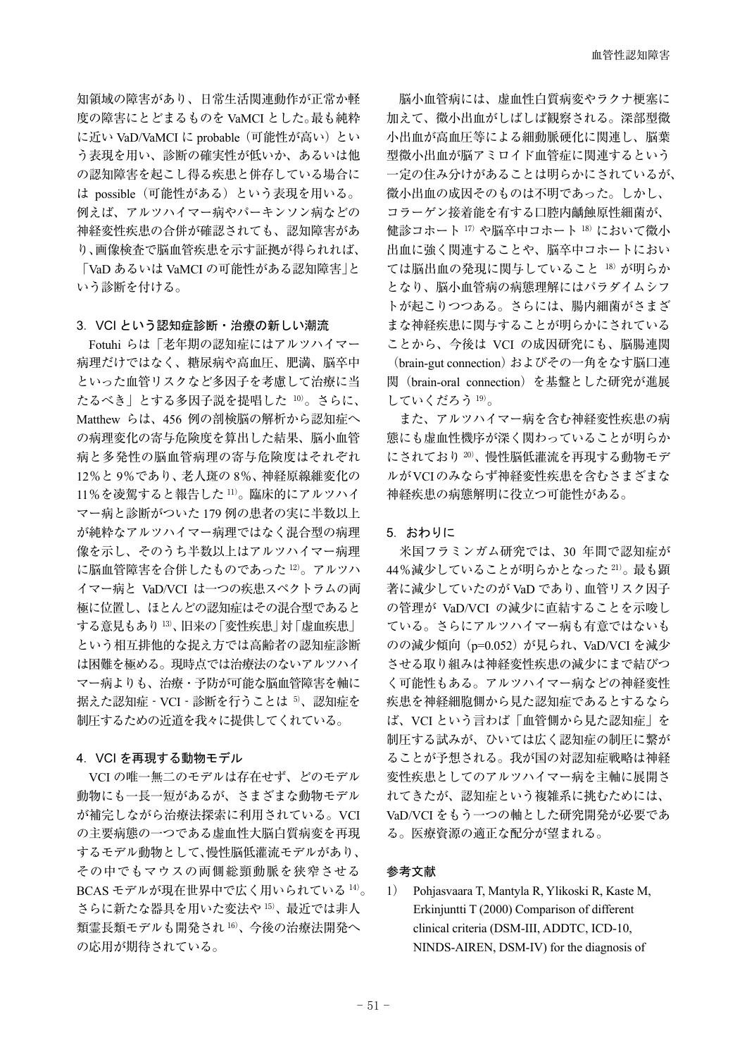知領域の障害があり、日常生活関連動作が正常か軽 度の障害にとどまるものを VaMCI とした。最も純粋 に近い VaD/VaMCI に probable(可能性が高い)とい う表現を用い、診断の確実性が低いか、あるいは他 の認知障害を起こし得る疾患と併存している場合に は possible(可能性がある)という表現を用いる。 例えば、アルツハイマー病やパーキンソン病などの 神経変性疾患の合併が確認されても、認知障害があ り、画像検査で脳血管疾患を示す証拠が得られれば、 「VaD あるいは VaMCI の可能性がある認知障害」と

いう診断を付ける。

## 3.VCI という認知症診断・治療の新しい潮流

Fotuhi らは「老年期の認知症にはアルツハイマー 病理だけではなく、糖尿病や高血圧、肥満、脳卒中 といった血管リスクなど多因子を考慮して治療に当 たるべき」とする多因子説を提唱した 10)。さらに、 Matthew らは、456 例の剖検脳の解析から認知症へ の病理変化の寄与危険度を算出した結果、脳小血管 病と多発性の脳血管病理の寄与危険度はそれぞれ 12%と 9%であり、老人斑の 8%、神経原線維変化の 11%を凌駕すると報告した 11)。臨床的にアルツハイ マー病と診断がついた 179 例の患者の実に半数以上 が純粋なアルツハイマー病理ではなく混合型の病理 像を示し、そのうち半数以上はアルツハイマー病理 に脳血管障害を合併したものであった 12)。アルツハ イマー病と VaD/VCI は一つの疾患スペクトラムの両 極に位置し、ほとんどの認知症はその混合型であると する意見もあり 13)、旧来の「変性疾患」対「虚血疾患」 という相互排他的な捉え方では高齢者の認知症診断 は困難を極める。現時点では治療法のないアルツハイ マー病よりも、治療・予防が可能な脳血管障害を軸に 据えた認知症 - VCI - 診断を行うことは 5)、認知症を 制圧するための近道を我々に提供してくれている。

### 4.VCI を再現する動物モデル

VCI の唯一無二のモデルは存在せず、どのモデル 動物にも一長一短があるが、さまざまな動物モデル が補完しながら治療法探索に利用されている。VCI の主要病態の一つである虚血性大脳白質病変を再現 するモデル動物として、慢性脳低灌流モデルがあり、 その中でもマウスの両側総頸動脈を狭窄させる BCAS モデルが現在世界中で広く用いられている 14)。 さらに新たな器具を用いた変法や 15)、最近では非人 類霊長類モデルも開発され 16)、今後の治療法開発へ の応用が期待されている。

 脳小血管病には、虚血性白質病変やラクナ梗塞に 加えて、微小出血がしばしば観察される。深部型微 小出血が高血圧等による細動脈硬化に関連し、脳葉 型微小出血が脳アミロイド血管症に関連するという 一定の住み分けがあることは明らかにされているが、 微小出血の成因そのものは不明であった。しかし、 コラーゲン接着能を有する口腔内齲蝕原性細菌が、 健診コホート 17) や脳卒中コホート 18) において微小 出血に強く関連することや、脳卒中コホートにおい ては脳出血の発現に関与していること 18)が明らか となり、脳小血管病の病態理解にはパラダイムシフ トが起こりつつある。さらには、腸内細菌がさまざ まな神経疾患に関与することが明らかにされている ことから、今後は VCI の成因研究にも、脳腸連関 (brain-gut connection) およびその一角をなす脳口連 関(brain-oral connection)を基盤とした研究が進展 していくだろう 19)。

 また、アルツハイマー病を含む神経変性疾患の病 態にも虚血性機序が深く関わっていることが明らか にされており 20)、慢性脳低灌流を再現する動物モデ ルがVCIのみならず神経変性疾患を含むさまざまな 神経疾患の病態解明に役立つ可能性がある。

## 5.おわりに

 米国フラミンガム研究では、30 年間で認知症が 44%減少していることが明らかとなった 21)。最も顕 著に減少していたのが VaD であり、血管リスク因子 の管理が VaD/VCI の減少に直結することを示唆し ている。さらにアルツハイマー病も有意ではないも のの減少傾向(p=0.052)が見られ、VaD/VCI を減少 させる取り組みは神経変性疾患の減少にまで結びつ く可能性もある。アルツハイマー病などの神経変性 疾患を神経細胞側から見た認知症であるとするなら ば、VCI という言わば「血管側から見た認知症」を 制圧する試みが、ひいては広く認知症の制圧に繋が ることが予想される。我が国の対認知症戦略は神経 変性疾患としてのアルツハイマー病を主軸に展開さ れてきたが、認知症という複雑系に挑むためには、 VaD/VCI をもう一つの軸とした研究開発が必要であ る。医療資源の適正な配分が望まれる。

## 参考文献

1) Pohjasvaara T, Mantyla R, Ylikoski R, Kaste M, Erkinjuntti T (2000) Comparison of different clinical criteria (DSM-III, ADDTC, ICD-10, NINDS-AIREN, DSM-IV) for the diagnosis of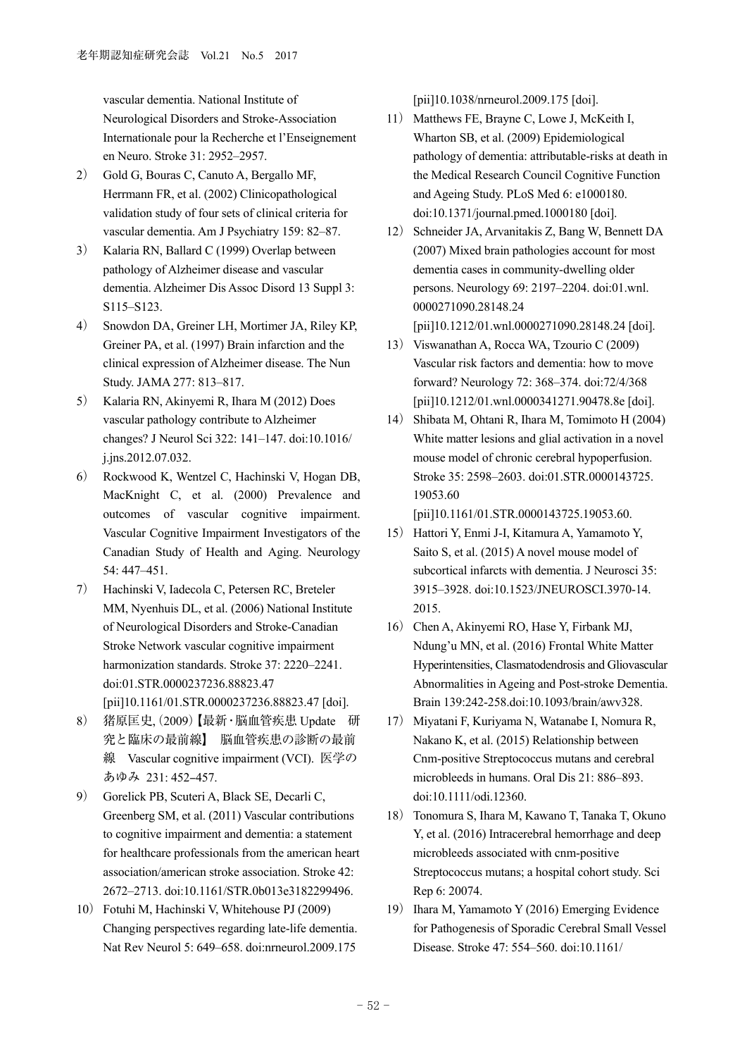vascular dementia. National Institute of Neurological Disorders and Stroke-Association Internationale pour la Recherche et l'Enseignement en Neuro. Stroke 31: 2952–2957.

- 2) Gold G, Bouras C, Canuto A, Bergallo MF, Herrmann FR, et al. (2002) Clinicopathological validation study of four sets of clinical criteria for vascular dementia. Am J Psychiatry 159: 82–87.
- 3) Kalaria RN, Ballard C (1999) Overlap between pathology of Alzheimer disease and vascular dementia. Alzheimer Dis Assoc Disord 13 Suppl 3: S115–S123.
- 4) Snowdon DA, Greiner LH, Mortimer JA, Riley KP, Greiner PA, et al. (1997) Brain infarction and the clinical expression of Alzheimer disease. The Nun Study. JAMA 277: 813–817.
- 5) Kalaria RN, Akinyemi R, Ihara M (2012) Does vascular pathology contribute to Alzheimer changes? J Neurol Sci 322: 141–147. doi:10.1016/ j.jns.2012.07.032.
- 6) Rockwood K, Wentzel C, Hachinski V, Hogan DB, MacKnight C, et al. (2000) Prevalence and outcomes of vascular cognitive impairment. Vascular Cognitive Impairment Investigators of the Canadian Study of Health and Aging. Neurology 54: 447–451.
- 7) Hachinski V, Iadecola C, Petersen RC, Breteler MM, Nyenhuis DL, et al. (2006) National Institute of Neurological Disorders and Stroke-Canadian Stroke Network vascular cognitive impairment harmonization standards. Stroke 37: 2220–2241. doi:01.STR.0000237236.88823.47 [pii]10.1161/01.STR.0000237236.88823.47 [doi].
- 8) 猪原匡史(, 2009)【最新・脳血管疾患 Update 研 究と臨床の最前線】 脳血管疾患の診断の最前 線 Vascular cognitive impairment (VCI). 医学の あゆみ 231:452-457.
- 9) Gorelick PB, Scuteri A, Black SE, Decarli C, Greenberg SM, et al. (2011) Vascular contributions to cognitive impairment and dementia: a statement for healthcare professionals from the american heart association/american stroke association. Stroke 42: 2672–2713. doi:10.1161/STR.0b013e3182299496.
- 10) Fotuhi M, Hachinski V, Whitehouse PJ (2009) Changing perspectives regarding late-life dementia. Nat Rev Neurol 5: 649–658. doi:nrneurol.2009.175

[pii]10.1038/nrneurol.2009.175 [doi].

- 11) Matthews FE, Brayne C, Lowe J, McKeith I, Wharton SB, et al. (2009) Epidemiological pathology of dementia: attributable-risks at death in the Medical Research Council Cognitive Function and Ageing Study. PLoS Med 6: e1000180. doi:10.1371/journal.pmed.1000180 [doi].
- 12) Schneider JA, Arvanitakis Z, Bang W, Bennett DA (2007) Mixed brain pathologies account for most dementia cases in community-dwelling older persons. Neurology 69: 2197–2204. doi:01.wnl. 0000271090.28148.24
	- [pii]10.1212/01.wnl.0000271090.28148.24 [doi].
- 13) Viswanathan A, Rocca WA, Tzourio C (2009) Vascular risk factors and dementia: how to move forward? Neurology 72: 368–374. doi:72/4/368 [pii]10.1212/01.wnl.0000341271.90478.8e [doi].
- 14) Shibata M, Ohtani R, Ihara M, Tomimoto H (2004) White matter lesions and glial activation in a novel mouse model of chronic cerebral hypoperfusion. Stroke 35: 2598–2603. doi:01.STR.0000143725. 19053.60

[pii]10.1161/01.STR.0000143725.19053.60.

- 15) Hattori Y, Enmi J-I, Kitamura A, Yamamoto Y, Saito S, et al. (2015) A novel mouse model of subcortical infarcts with dementia. J Neurosci 35: 3915–3928. doi:10.1523/JNEUROSCI.3970-14. 2015.
- 16) Chen A, Akinyemi RO, Hase Y, Firbank MJ, Ndung'u MN, et al. (2016) Frontal White Matter Hyperintensities, Clasmatodendrosis and Gliovascular Abnormalities in Ageing and Post-stroke Dementia. Brain 139:242-258.doi:10.1093/brain/awv328.
- 17) Miyatani F, Kuriyama N, Watanabe I, Nomura R, Nakano K, et al. (2015) Relationship between Cnm-positive Streptococcus mutans and cerebral microbleeds in humans. Oral Dis 21: 886–893. doi:10.1111/odi.12360.
- 18) Tonomura S, Ihara M, Kawano T, Tanaka T, Okuno Y, et al. (2016) Intracerebral hemorrhage and deep microbleeds associated with cnm-positive Streptococcus mutans; a hospital cohort study. Sci Rep 6: 20074.
- 19) Ihara M, Yamamoto Y (2016) Emerging Evidence for Pathogenesis of Sporadic Cerebral Small Vessel Disease. Stroke 47: 554–560. doi:10.1161/